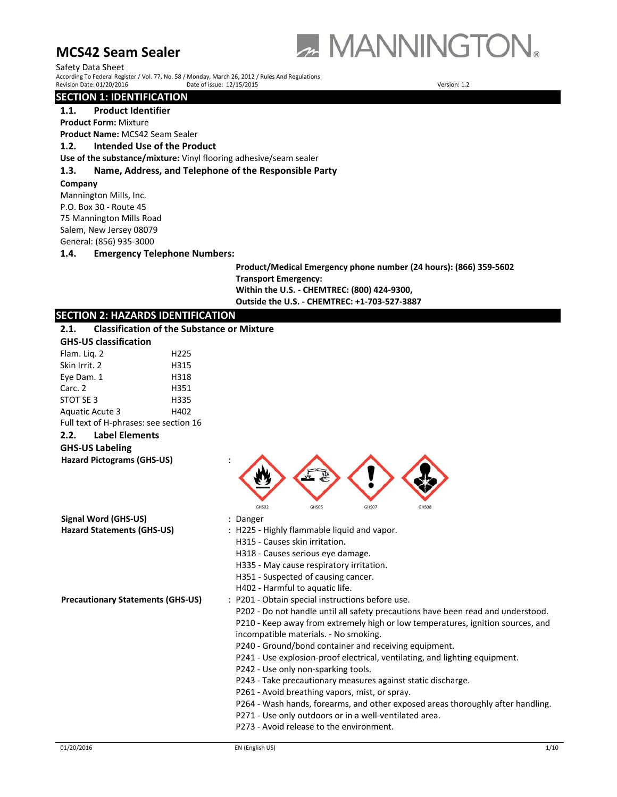

Safety Data Sheet According To Federal Register / Vol. 77, No. 58 / Monday, March 26, 2012 / Rules And Regulations Revision Date: 01/20/2016 Date of issue: 12/15/2015 Version: 1.2

# **SECTION 1: IDENTIFICATION**

**1.1. Product Identifier**

**Product Form:** Mixture

**Product Name:** MCS42 Seam Sealer

**1.2. Intended Use of the Product**

**Use of the substance/mixture:** Vinyl flooring adhesive/seam sealer

# **1.3. Name, Address, and Telephone of the Responsible Party**

### **Company**

Mannington Mills, Inc. P.O. Box 30 ‐ Route 45 75 Mannington Mills Road Salem, New Jersey 08079 General: (856) 935‐3000

# **1.4. Emergency Telephone Numbers:**

**Product/Medical Emergency phone number (24 hours): (866) 359‐5602 Transport Emergency: Within the U.S. ‐ CHEMTREC: (800) 424‐9300, Outside the U.S. ‐ CHEMTREC: +1‐703‐527‐3887**

| <b>SECTION 2: HAZARDS IDENTIFICATION</b>                                                                                                                                                                                                                                                                                                                                                                                                             |
|------------------------------------------------------------------------------------------------------------------------------------------------------------------------------------------------------------------------------------------------------------------------------------------------------------------------------------------------------------------------------------------------------------------------------------------------------|
| <b>Classification of the Substance or Mixture</b>                                                                                                                                                                                                                                                                                                                                                                                                    |
|                                                                                                                                                                                                                                                                                                                                                                                                                                                      |
|                                                                                                                                                                                                                                                                                                                                                                                                                                                      |
|                                                                                                                                                                                                                                                                                                                                                                                                                                                      |
|                                                                                                                                                                                                                                                                                                                                                                                                                                                      |
|                                                                                                                                                                                                                                                                                                                                                                                                                                                      |
|                                                                                                                                                                                                                                                                                                                                                                                                                                                      |
|                                                                                                                                                                                                                                                                                                                                                                                                                                                      |
| Full text of H-phrases: see section 16                                                                                                                                                                                                                                                                                                                                                                                                               |
|                                                                                                                                                                                                                                                                                                                                                                                                                                                      |
|                                                                                                                                                                                                                                                                                                                                                                                                                                                      |
| GHS05<br>GHS07<br>GHS02<br>GHS08                                                                                                                                                                                                                                                                                                                                                                                                                     |
| : Danger                                                                                                                                                                                                                                                                                                                                                                                                                                             |
| : H225 - Highly flammable liquid and vapor.<br>H315 - Causes skin irritation.<br>H318 - Causes serious eye damage.<br>H335 - May cause respiratory irritation.<br>H351 - Suspected of causing cancer.<br>H402 - Harmful to aquatic life.                                                                                                                                                                                                             |
| <b>Precautionary Statements (GHS-US)</b><br>: P201 - Obtain special instructions before use.<br>P202 - Do not handle until all safety precautions have been read and understood.<br>P210 - Keep away from extremely high or low temperatures, ignition sources, and<br>incompatible materials. - No smoking.<br>P240 - Ground/bond container and receiving equipment.<br>P241 - Use explosion-proof electrical, ventilating, and lighting equipment. |
|                                                                                                                                                                                                                                                                                                                                                                                                                                                      |

P242 - Use only non-sparking tools.

- P243 ‐ Take precautionary measures against static discharge.
- P261 Avoid breathing vapors, mist, or spray.
- P264 Wash hands, forearms, and other exposed areas thoroughly after handling.
- P271 Use only outdoors or in a well-ventilated area.
- P273 ‐ Avoid release to the environment.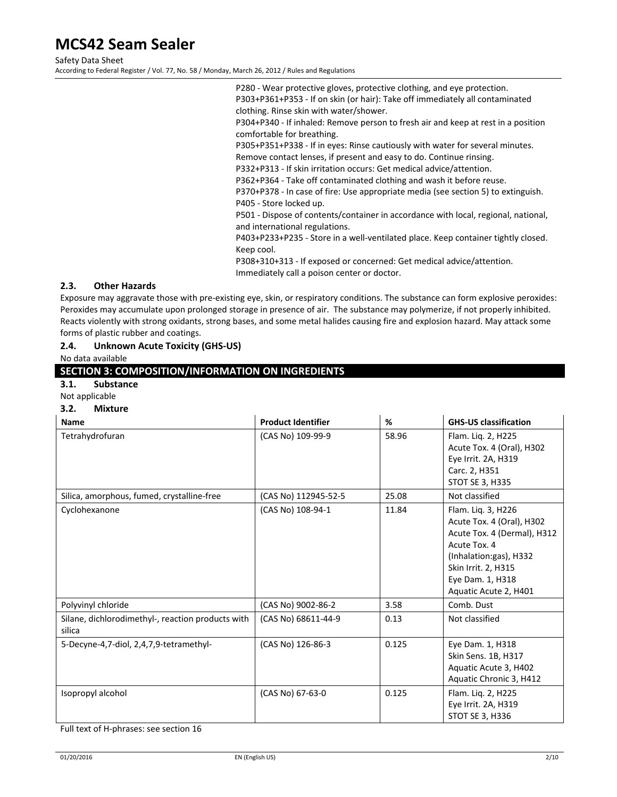Safety Data Sheet

According to Federal Register / Vol. 77, No. 58 / Monday, March 26, 2012 / Rules and Regulations

P280 ‐ Wear protective gloves, protective clothing, and eye protection. P303+P361+P353 ‐ If on skin (or hair): Take off immediately all contaminated clothing. Rinse skin with water/shower.

P304+P340 ‐ If inhaled: Remove person to fresh air and keep at rest in a position comfortable for breathing.

P305+P351+P338 ‐ If in eyes: Rinse cautiously with water for several minutes.

Remove contact lenses, if present and easy to do. Continue rinsing.

P332+P313 ‐ If skin irritation occurs: Get medical advice/attention. P362+P364 ‐ Take off contaminated clothing and wash it before reuse.

P370+P378 ‐ In case of fire: Use appropriate media (see section 5) to extinguish. P405 ‐ Store locked up.

P501 - Dispose of contents/container in accordance with local, regional, national, and international regulations.

P403+P233+P235 - Store in a well-ventilated place. Keep container tightly closed. Keep cool.

P308+310+313 ‐ If exposed or concerned: Get medical advice/attention.

Immediately call a poison center or doctor.

# **2.3. Other Hazards**

Exposure may aggravate those with pre‐existing eye, skin, or respiratory conditions. The substance can form explosive peroxides: Peroxides may accumulate upon prolonged storage in presence of air. The substance may polymerize, if not properly inhibited. Reacts violently with strong oxidants, strong bases, and some metal halides causing fire and explosion hazard. May attack some forms of plastic rubber and coatings.

# **2.4. Unknown Acute Toxicity (GHS‐US)**

No data available

# **SECTION 3: COMPOSITION/INFORMATION ON INGREDIENTS**

# **3.1. Substance**

Not applicable

#### **3.2. Mixture**

| <b>Name</b>                                                 | <b>Product Identifier</b> | %     | <b>GHS-US classification</b>                                                                                                                                                                 |
|-------------------------------------------------------------|---------------------------|-------|----------------------------------------------------------------------------------------------------------------------------------------------------------------------------------------------|
| Tetrahydrofuran                                             | (CAS No) 109-99-9         | 58.96 | Flam. Lig. 2, H225<br>Acute Tox. 4 (Oral), H302<br>Eye Irrit. 2A, H319<br>Carc. 2, H351<br><b>STOT SE 3, H335</b>                                                                            |
| Silica, amorphous, fumed, crystalline-free                  | (CAS No) 112945-52-5      | 25.08 | Not classified                                                                                                                                                                               |
| Cyclohexanone                                               | (CAS No) 108-94-1         | 11.84 | Flam. Liq. 3, H226<br>Acute Tox. 4 (Oral), H302<br>Acute Tox. 4 (Dermal), H312<br>Acute Tox. 4<br>(Inhalation:gas), H332<br>Skin Irrit. 2, H315<br>Eye Dam. 1, H318<br>Aquatic Acute 2, H401 |
| Polyvinyl chloride                                          | (CAS No) 9002-86-2        | 3.58  | Comb. Dust                                                                                                                                                                                   |
| Silane, dichlorodimethyl-, reaction products with<br>silica | (CAS No) 68611-44-9       | 0.13  | Not classified                                                                                                                                                                               |
| 5-Decyne-4,7-diol, 2,4,7,9-tetramethyl-                     | (CAS No) 126-86-3         | 0.125 | Eye Dam. 1, H318<br>Skin Sens. 1B, H317<br>Aquatic Acute 3, H402<br>Aquatic Chronic 3, H412                                                                                                  |
| Isopropyl alcohol                                           | (CAS No) 67-63-0          | 0.125 | Flam. Liq. 2, H225<br>Eye Irrit. 2A, H319<br>STOT SE 3, H336                                                                                                                                 |

Full text of H‐phrases: see section 16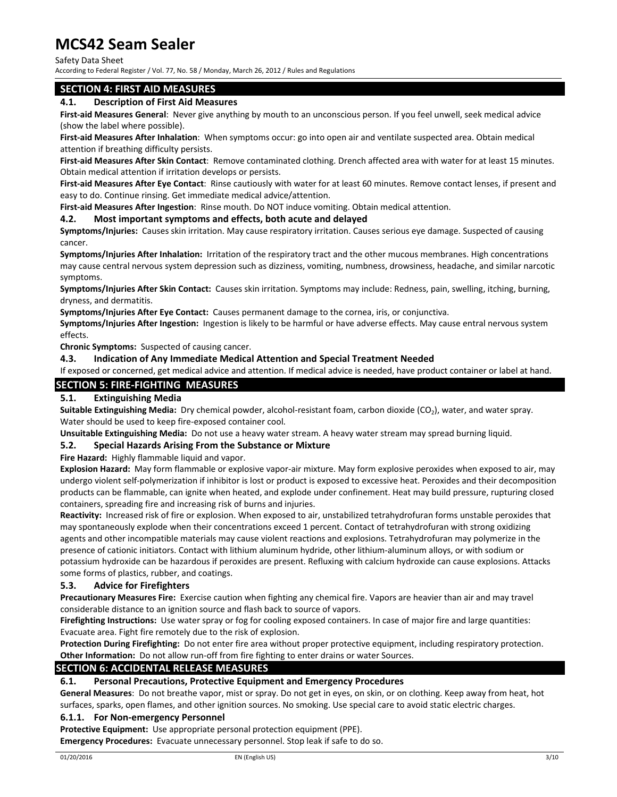### Safety Data Sheet

According to Federal Register / Vol. 77, No. 58 / Monday, March 26, 2012 / Rules and Regulations

# **SECTION 4: FIRST AID MEASURES**

### **4.1. Description of First Aid Measures**

**First‐aid Measures General**: Never give anything by mouth to an unconscious person. If you feel unwell, seek medical advice (show the label where possible).

**First‐aid Measures After Inhalation**: When symptoms occur: go into open air and ventilate suspected area. Obtain medical attention if breathing difficulty persists.

**First‐aid Measures After Skin Contact**: Remove contaminated clothing. Drench affected area with water for at least 15 minutes. Obtain medical attention if irritation develops or persists.

**First‐aid Measures After Eye Contact**: Rinse cautiously with water for at least 60 minutes. Remove contact lenses, if present and easy to do. Continue rinsing. Get immediate medical advice/attention.

**First‐aid Measures After Ingestion**: Rinse mouth. Do NOT induce vomiting. Obtain medical attention.

### **4.2. Most important symptoms and effects, both acute and delayed**

**Symptoms/Injuries:** Causes skin irritation. May cause respiratory irritation. Causes serious eye damage. Suspected of causing cancer.

**Symptoms/Injuries After Inhalation:** Irritation of the respiratory tract and the other mucous membranes. High concentrations may cause central nervous system depression such as dizziness, vomiting, numbness, drowsiness, headache, and similar narcotic symptoms.

**Symptoms/Injuries After Skin Contact:** Causes skin irritation. Symptoms may include: Redness, pain, swelling, itching, burning, dryness, and dermatitis.

**Symptoms/Injuries After Eye Contact:** Causes permanent damage to the cornea, iris, or conjunctiva.

**Symptoms/Injuries After Ingestion:** Ingestion is likely to be harmful or have adverse effects. May cause entral nervous system effects.

**Chronic Symptoms:** Suspected of causing cancer.

### **4.3. Indication of Any Immediate Medical Attention and Special Treatment Needed**

If exposed or concerned, get medical advice and attention. If medical advice is needed, have product container or label at hand.

# **SECTION 5: FIRE‐FIGHTING MEASURES**

# **5.1. Extinguishing Media**

**Suitable Extinguishing Media:** Dry chemical powder, alcohol‐resistant foam, carbon dioxide (CO2), water, and water spray. Water should be used to keep fire‐exposed container cool.

**Unsuitable Extinguishing Media:** Do not use a heavy water stream. A heavy water stream may spread burning liquid.

### **5.2. Special Hazards Arising From the Substance or Mixture**

**Fire Hazard:** Highly flammable liquid and vapor.

**Explosion Hazard:** May form flammable or explosive vapor-air mixture. May form explosive peroxides when exposed to air, may undergo violent self‐polymerization if inhibitor is lost or product is exposed to excessive heat. Peroxides and their decomposition products can be flammable, can ignite when heated, and explode under confinement. Heat may build pressure, rupturing closed containers, spreading fire and increasing risk of burns and injuries.

Reactivity: Increased risk of fire or explosion. When exposed to air, unstabilized tetrahydrofuran forms unstable peroxides that may spontaneously explode when their concentrations exceed 1 percent. Contact of tetrahydrofuran with strong oxidizing agents and other incompatible materials may cause violent reactions and explosions. Tetrahydrofuran may polymerize in the presence of cationic initiators. Contact with lithium aluminum hydride, other lithium‐aluminum alloys, or with sodium or potassium hydroxide can be hazardous if peroxides are present. Refluxing with calcium hydroxide can cause explosions. Attacks some forms of plastics, rubber, and coatings.

### **5.3. Advice for Firefighters**

**Precautionary Measures Fire:** Exercise caution when fighting any chemical fire. Vapors are heavier than air and may travel considerable distance to an ignition source and flash back to source of vapors.

Firefighting Instructions: Use water spray or fog for cooling exposed containers. In case of major fire and large quantities: Evacuate area. Fight fire remotely due to the risk of explosion.

**Protection During Firefighting:** Do not enter fire area without proper protective equipment, including respiratory protection. **Other Information:** Do not allow run‐off from fire fighting to enter drains or water Sources.

### **SECTION 6: ACCIDENTAL RELEASE MEASURES**

### **6.1. Personal Precautions, Protective Equipment and Emergency Procedures**

**General Measures**: Do not breathe vapor, mist or spray. Do not get in eyes, on skin, or on clothing. Keep away from heat, hot surfaces, sparks, open flames, and other ignition sources. No smoking. Use special care to avoid static electric charges.

# **6.1.1. For Non‐emergency Personnel**

**Protective Equipment:** Use appropriate personal protection equipment (PPE).

**Emergency Procedures:** Evacuate unnecessary personnel. Stop leak if safe to do so.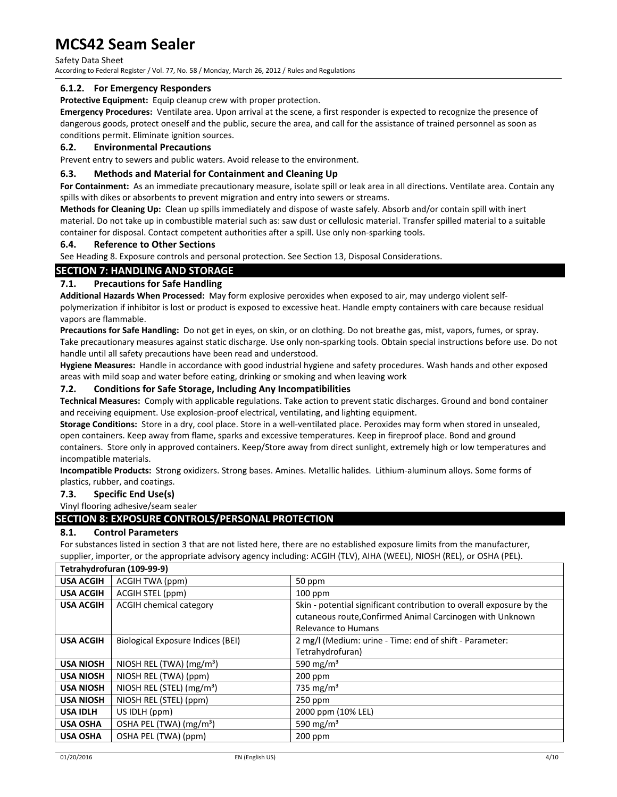Safety Data Sheet According to Federal Register / Vol. 77, No. 58 / Monday, March 26, 2012 / Rules and Regulations

# **6.1.2. For Emergency Responders**

**Protective Equipment:** Equip cleanup crew with proper protection.

**Emergency Procedures:** Ventilate area. Upon arrival at the scene, a first responder is expected to recognize the presence of dangerous goods, protect oneself and the public, secure the area, and call for the assistance of trained personnel as soon as conditions permit. Eliminate ignition sources.

### **6.2. Environmental Precautions**

Prevent entry to sewers and public waters. Avoid release to the environment.

# **6.3. Methods and Material for Containment and Cleaning Up**

**For Containment:** As an immediate precautionary measure, isolate spill or leak area in all directions. Ventilate area. Contain any spills with dikes or absorbents to prevent migration and entry into sewers or streams.

**Methods for Cleaning Up:** Clean up spills immediately and dispose of waste safely. Absorb and/or contain spill with inert material. Do not take up in combustible material such as: saw dust or cellulosic material. Transfer spilled material to a suitable container for disposal. Contact competent authorities after a spill. Use only non-sparking tools.

### **6.4. Reference to Other Sections**

See Heading 8. Exposure controls and personal protection. See Section 13, Disposal Considerations.

# **SECTION 7: HANDLING AND STORAGE**

# **7.1. Precautions for Safe Handling**

**Additional Hazards When Processed:** May form explosive peroxides when exposed to air, may undergo violent self‐ polymerization if inhibitor is lost or product is exposed to excessive heat. Handle empty containers with care because residual vapors are flammable.

**Precautions for Safe Handling:** Do not get in eyes, on skin, or on clothing. Do not breathe gas, mist, vapors, fumes, or spray. Take precautionary measures against static discharge. Use only non‐sparking tools. Obtain special instructions before use. Do not handle until all safety precautions have been read and understood.

**Hygiene Measures:** Handle in accordance with good industrial hygiene and safety procedures. Wash hands and other exposed areas with mild soap and water before eating, drinking or smoking and when leaving work

# **7.2. Conditions for Safe Storage, Including Any Incompatibilities**

**Technical Measures:** Comply with applicable regulations. Take action to prevent static discharges. Ground and bond container and receiving equipment. Use explosion-proof electrical, ventilating, and lighting equipment.

**Storage Conditions:** Store in a dry, cool place. Store in a well‐ventilated place. Peroxides may form when stored in unsealed, open containers. Keep away from flame, sparks and excessive temperatures. Keep in fireproof place. Bond and ground containers. Store only in approved containers. Keep/Store away from direct sunlight, extremely high or low temperatures and incompatible materials.

**Incompatible Products:** Strong oxidizers. Strong bases. Amines. Metallic halides. Lithium‐aluminum alloys. Some forms of plastics, rubber, and coatings.

### **7.3. Specific End Use(s)**

Vinyl flooring adhesive/seam sealer

# **SECTION 8: EXPOSURE CONTROLS/PERSONAL PROTECTION**

# **8.1. Control Parameters**

For substances listed in section 3 that are not listed here, there are no established exposure limits from the manufacturer, supplier, importer, or the appropriate advisory agency including: ACGIH (TLV), AIHA (WEEL), NIOSH (REL), or OSHA (PEL).

|                  | Tetrahydrofuran (109-99-9)          |                                                                      |
|------------------|-------------------------------------|----------------------------------------------------------------------|
| <b>USA ACGIH</b> | ACGIH TWA (ppm)                     | 50 ppm                                                               |
| <b>USA ACGIH</b> | ACGIH STEL (ppm)                    | $100$ ppm                                                            |
| <b>USA ACGIH</b> | <b>ACGIH chemical category</b>      | Skin - potential significant contribution to overall exposure by the |
|                  |                                     | cutaneous route, Confirmed Animal Carcinogen with Unknown            |
|                  |                                     | <b>Relevance to Humans</b>                                           |
| <b>USA ACGIH</b> | Biological Exposure Indices (BEI)   | 2 mg/l (Medium: urine - Time: end of shift - Parameter:              |
|                  |                                     | Tetrahydrofuran)                                                     |
| <b>USA NIOSH</b> | NIOSH REL (TWA) $(mg/m3)$           | 590 mg/m <sup>3</sup>                                                |
| <b>USA NIOSH</b> | NIOSH REL (TWA) (ppm)               | $200$ ppm                                                            |
| <b>USA NIOSH</b> | NIOSH REL (STEL) $(mg/m3)$          | 735 mg/m <sup>3</sup>                                                |
| <b>USA NIOSH</b> | NIOSH REL (STEL) (ppm)              | $250$ ppm                                                            |
| <b>USA IDLH</b>  | US IDLH (ppm)                       | 2000 ppm (10% LEL)                                                   |
| <b>USA OSHA</b>  | OSHA PEL (TWA) (mg/m <sup>3</sup> ) | 590 mg/m <sup>3</sup>                                                |
| <b>USA OSHA</b>  | OSHA PEL (TWA) (ppm)                | $200$ ppm                                                            |
|                  |                                     |                                                                      |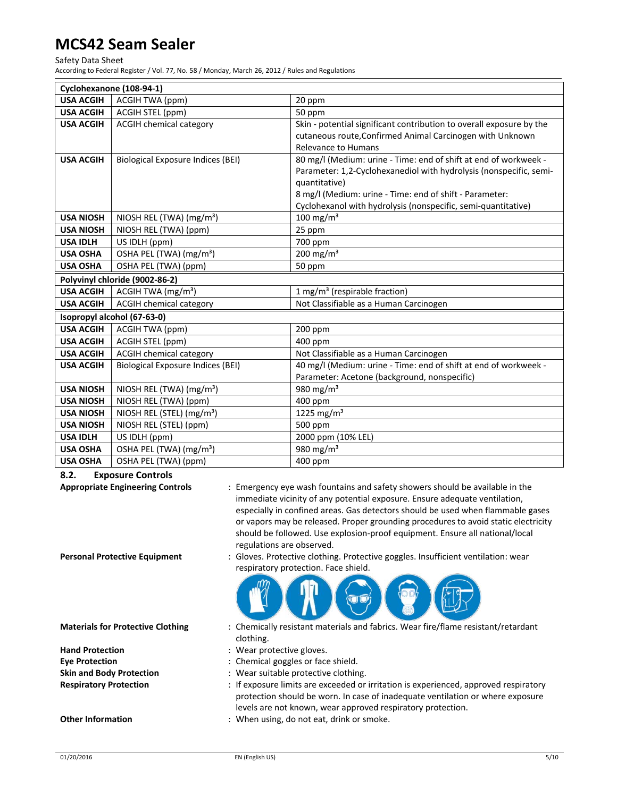#### Safety Data Sheet

According to Federal Register / Vol. 77, No. 58 / Monday, March 26, 2012 / Rules and Regulations

|                  | Cyclohexanone (108-94-1)                 |                                                                      |
|------------------|------------------------------------------|----------------------------------------------------------------------|
| <b>USA ACGIH</b> | ACGIH TWA (ppm)                          | 20 ppm                                                               |
| <b>USA ACGIH</b> | ACGIH STEL (ppm)                         | 50 ppm                                                               |
| <b>USA ACGIH</b> | <b>ACGIH chemical category</b>           | Skin - potential significant contribution to overall exposure by the |
|                  |                                          | cutaneous route, Confirmed Animal Carcinogen with Unknown            |
|                  |                                          | <b>Relevance to Humans</b>                                           |
| <b>USA ACGIH</b> | <b>Biological Exposure Indices (BEI)</b> | 80 mg/l (Medium: urine - Time: end of shift at end of workweek -     |
|                  |                                          | Parameter: 1,2-Cyclohexanediol with hydrolysis (nonspecific, semi-   |
|                  |                                          | quantitative)                                                        |
|                  |                                          | 8 mg/l (Medium: urine - Time: end of shift - Parameter:              |
|                  |                                          | Cyclohexanol with hydrolysis (nonspecific, semi-quantitative)        |
| <b>USA NIOSH</b> | NIOSH REL (TWA) (mg/m <sup>3</sup> )     | $100$ mg/m <sup>3</sup>                                              |
| <b>USA NIOSH</b> | NIOSH REL (TWA) (ppm)                    | 25 ppm                                                               |
| <b>USA IDLH</b>  | US IDLH (ppm)                            | 700 ppm                                                              |
| <b>USA OSHA</b>  | OSHA PEL (TWA) (mg/m <sup>3</sup> )      | $200$ mg/m <sup>3</sup>                                              |
| <b>USA OSHA</b>  | OSHA PEL (TWA) (ppm)                     | 50 ppm                                                               |
|                  | Polyvinyl chloride (9002-86-2)           |                                                                      |
| <b>USA ACGIH</b> | ACGIH TWA (mg/m <sup>3</sup> )           | 1 mg/m <sup>3</sup> (respirable fraction)                            |
| <b>USA ACGIH</b> | <b>ACGIH chemical category</b>           | Not Classifiable as a Human Carcinogen                               |
|                  | Isopropyl alcohol (67-63-0)              |                                                                      |
| <b>USA ACGIH</b> | <b>ACGIH TWA (ppm)</b>                   | 200 ppm                                                              |
| <b>USA ACGIH</b> | ACGIH STEL (ppm)                         | 400 ppm                                                              |
| <b>USA ACGIH</b> | <b>ACGIH chemical category</b>           | Not Classifiable as a Human Carcinogen                               |
| <b>USA ACGIH</b> | <b>Biological Exposure Indices (BEI)</b> | 40 mg/l (Medium: urine - Time: end of shift at end of workweek -     |
|                  |                                          | Parameter: Acetone (background, nonspecific)                         |
| <b>USA NIOSH</b> | NIOSH REL (TWA) (mg/m <sup>3</sup> )     | 980 $mg/m3$                                                          |
| <b>USA NIOSH</b> | NIOSH REL (TWA) (ppm)                    | 400 ppm                                                              |
| <b>USA NIOSH</b> | NIOSH REL (STEL) (mg/m <sup>3</sup> )    | 1225 mg/m <sup>3</sup>                                               |
| <b>USA NIOSH</b> | NIOSH REL (STEL) (ppm)                   | 500 ppm                                                              |
| <b>USA IDLH</b>  | US IDLH (ppm)                            | 2000 ppm (10% LEL)                                                   |
| <b>USA OSHA</b>  | OSHA PEL (TWA) (mg/m <sup>3</sup> )      | 980 mg/m <sup>3</sup>                                                |
| <b>USA OSHA</b>  | OSHA PEL (TWA) (ppm)                     | 400 ppm                                                              |

### **8.2. Exposure Controls**

immediate vicinity of any potential exposure. Ensure adequate ventilation, especially in confined areas. Gas detectors should be used when flammable gases or vapors may be released. Proper grounding procedures to avoid static electricity should be followed. Use explosion‐proof equipment. Ensure all national/local regulations are observed. **Personal Protective Equipment** : Gloves. Protective clothing. Protective goggles. Insufficient ventilation: wear respiratory protection. Face shield. **Materials for Protective Clothing** : Chemically resistant materials and fabrics. Wear fire/flame resistant/retardant clothing. **Hand Protection** : Wear protective gloves. **Eye Protection** : Chemical goggles or face shield. **Skin and Body Protection** : Wear suitable protective clothing. **Respiratory Protection** : If exposure limits are exceeded or irritation is experienced, approved respiratory

**Appropriate Engineering Controls** : Emergency eye wash fountains and safety showers should be available in the

- protection should be worn. In case of inadequate ventilation or where exposure levels are not known, wear approved respiratory protection.
- **Other Information** : When using, do not eat, drink or smoke.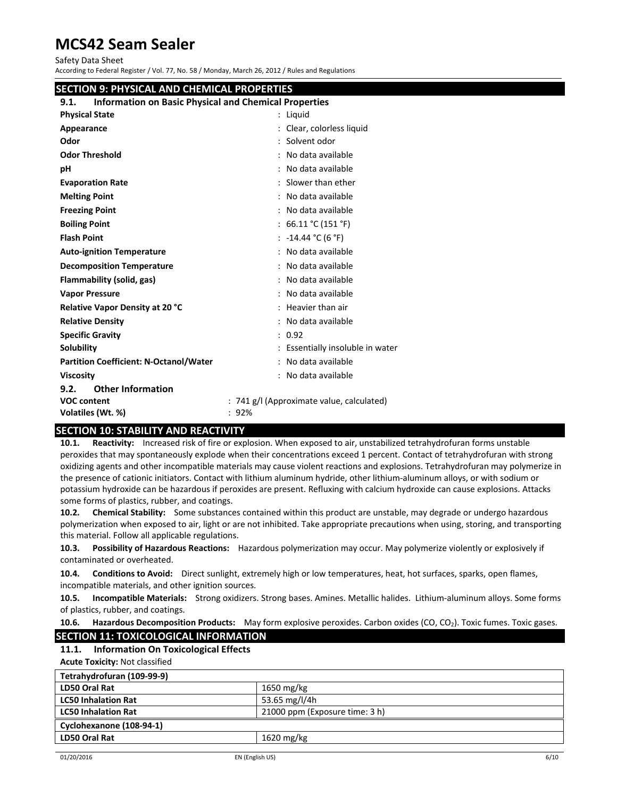Safety Data Sheet

According to Federal Register / Vol. 77, No. 58 / Monday, March 26, 2012 / Rules and Regulations

# **SECTION 9: PHYSICAL AND CHEMICAL PROPERTIES**

# **9.1. Information on Basic Physical and Chemical Properties**

| <b>INTO MILLOU ON DASIL FRYSICAL AND CHEMICAL FLOPERIES</b> |                                           |
|-------------------------------------------------------------|-------------------------------------------|
| <b>Physical State</b>                                       | : Liguid                                  |
| Appearance                                                  | : Clear, colorless liquid                 |
| Odor                                                        | : Solvent odor                            |
| <b>Odor Threshold</b>                                       | : No data available                       |
| pH                                                          | : No data available                       |
| <b>Evaporation Rate</b>                                     | : Slower than ether                       |
| <b>Melting Point</b>                                        | : No data available                       |
| <b>Freezing Point</b>                                       | : No data available                       |
| <b>Boiling Point</b>                                        | : $66.11 °C (151 °F)$                     |
| <b>Flash Point</b>                                          | : $-14.44$ °C (6 °F)                      |
| <b>Auto-ignition Temperature</b>                            | : No data available                       |
| <b>Decomposition Temperature</b>                            | : No data available                       |
| Flammability (solid, gas)                                   | : No data available                       |
| <b>Vapor Pressure</b>                                       | : No data available                       |
| <b>Relative Vapor Density at 20 °C</b>                      | : Heavier than air                        |
| <b>Relative Density</b>                                     | : No data available                       |
| <b>Specific Gravity</b>                                     | : 0.92                                    |
| Solubility                                                  | : Essentially insoluble in water          |
| <b>Partition Coefficient: N-Octanol/Water</b>               | : No data available                       |
| <b>Viscosity</b>                                            | : No data available                       |
| <b>Other Information</b><br>9.2.                            |                                           |
| <b>VOC content</b>                                          | : 741 g/l (Approximate value, calculated) |
| Volatiles (Wt. %)                                           | : 92%                                     |
|                                                             |                                           |

# **SECTION 10: STABILITY AND REACTIVITY**

**10.1. Reactivity:** Increased risk of fire or explosion. When exposed to air, unstabilized tetrahydrofuran forms unstable peroxides that may spontaneously explode when their concentrations exceed 1 percent. Contact of tetrahydrofuran with strong oxidizing agents and other incompatible materials may cause violent reactions and explosions. Tetrahydrofuran may polymerize in the presence of cationic initiators. Contact with lithium aluminum hydride, other lithium‐aluminum alloys, or with sodium or potassium hydroxide can be hazardous if peroxides are present. Refluxing with calcium hydroxide can cause explosions. Attacks some forms of plastics, rubber, and coatings.

**10.2. Chemical Stability:** Some substances contained within this product are unstable, may degrade or undergo hazardous polymerization when exposed to air, light or are not inhibited. Take appropriate precautions when using, storing, and transporting this material. Follow all applicable regulations.

**10.3. Possibility of Hazardous Reactions:** Hazardous polymerization may occur. May polymerize violently or explosively if contaminated or overheated.

**10.4. Conditions to Avoid:** Direct sunlight, extremely high or low temperatures, heat, hot surfaces, sparks, open flames, incompatible materials, and other ignition sources.

**10.5. Incompatible Materials:** Strong oxidizers. Strong bases. Amines. Metallic halides. Lithium‐aluminum alloys. Some forms of plastics, rubber, and coatings.

# **10.6.** Hazardous Decomposition Products: May form explosive peroxides. Carbon oxides (CO, CO<sub>2</sub>). Toxic fumes. Toxic gases.

# **SECTION 11: TOXICOLOGICAL INFORMATION**

# **11.1. Information On Toxicological Effects**

**Acute Toxicity:** Not classified

| Tetrahydrofuran (109-99-9) |                                |
|----------------------------|--------------------------------|
| LD50 Oral Rat              | 1650 mg/kg                     |
| <b>LC50 Inhalation Rat</b> | 53.65 mg/l/4h                  |
| <b>LC50 Inhalation Rat</b> | 21000 ppm (Exposure time: 3 h) |
| Cyclohexanone (108-94-1)   |                                |
| LD50 Oral Rat              | $1620 \text{ mg/kg}$           |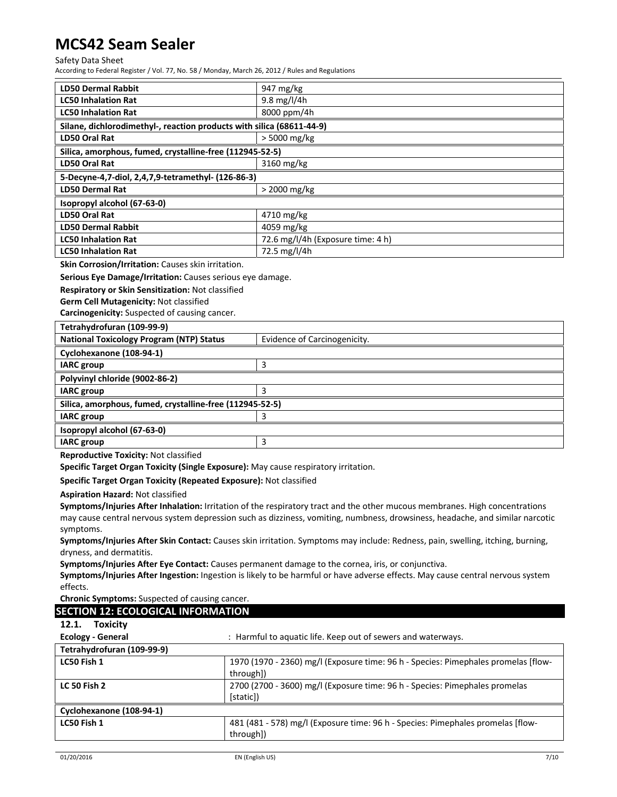# Safety Data Sheet

According to Federal Register / Vol. 77, No. 58 / Monday, March 26, 2012 / Rules and Regulations

| <b>LD50 Dermal Rabbit</b>                                                           | 947 mg/kg                                                                                                                      |
|-------------------------------------------------------------------------------------|--------------------------------------------------------------------------------------------------------------------------------|
| <b>LC50 Inhalation Rat</b>                                                          | 9.8 mg/l/4h                                                                                                                    |
| <b>LC50 Inhalation Rat</b>                                                          | 8000 ppm/4h                                                                                                                    |
| Silane, dichlorodimethyl-, reaction products with silica (68611-44-9)               |                                                                                                                                |
| LD50 Oral Rat                                                                       | > 5000 mg/kg                                                                                                                   |
| Silica, amorphous, fumed, crystalline-free (112945-52-5)                            |                                                                                                                                |
| <b>LD50 Oral Rat</b>                                                                | 3160 mg/kg                                                                                                                     |
| 5-Decyne-4,7-diol, 2,4,7,9-tetramethyl- (126-86-3)                                  |                                                                                                                                |
| <b>LD50 Dermal Rat</b>                                                              | > 2000 mg/kg                                                                                                                   |
| Isopropyl alcohol (67-63-0)                                                         |                                                                                                                                |
| <b>LD50 Oral Rat</b>                                                                | 4710 mg/kg                                                                                                                     |
| <b>LD50 Dermal Rabbit</b>                                                           | 4059 mg/kg                                                                                                                     |
| <b>LC50 Inhalation Rat</b>                                                          | 72.6 mg/l/4h (Exposure time: 4 h)                                                                                              |
| <b>LC50 Inhalation Rat</b>                                                          | 72.5 mg/l/4h                                                                                                                   |
| Skin Corrosion/Irritation: Causes skin irritation.                                  |                                                                                                                                |
| Serious Eye Damage/Irritation: Causes serious eye damage.                           |                                                                                                                                |
| Respiratory or Skin Sensitization: Not classified                                   |                                                                                                                                |
| Germ Cell Mutagenicity: Not classified                                              |                                                                                                                                |
| Carcinogenicity: Suspected of causing cancer.                                       |                                                                                                                                |
| Tetrahydrofuran (109-99-9)                                                          |                                                                                                                                |
| <b>National Toxicology Program (NTP) Status</b>                                     | Evidence of Carcinogenicity.                                                                                                   |
| Cyclohexanone (108-94-1)                                                            |                                                                                                                                |
| <b>IARC</b> group                                                                   | 3                                                                                                                              |
| Polyvinyl chloride (9002-86-2)                                                      |                                                                                                                                |
| <b>IARC</b> group                                                                   | 3                                                                                                                              |
| Silica, amorphous, fumed, crystalline-free (112945-52-5)                            |                                                                                                                                |
|                                                                                     |                                                                                                                                |
|                                                                                     |                                                                                                                                |
| <b>IARC</b> group                                                                   | 3                                                                                                                              |
| Isopropyl alcohol (67-63-0)                                                         |                                                                                                                                |
| <b>IARC</b> group                                                                   | 3                                                                                                                              |
| Reproductive Toxicity: Not classified                                               |                                                                                                                                |
| Specific Target Organ Toxicity (Single Exposure): May cause respiratory irritation. |                                                                                                                                |
| Specific Target Organ Toxicity (Repeated Exposure): Not classified                  |                                                                                                                                |
| <b>Aspiration Hazard: Not classified</b>                                            |                                                                                                                                |
|                                                                                     | Symptoms/Injuries After Inhalation: Irritation of the respiratory tract and the other mucous membranes. High concentrations    |
|                                                                                     | may cause central nervous system depression such as dizziness, vomiting, numbness, drowsiness, headache, and similar narcotic  |
| symptoms.                                                                           |                                                                                                                                |
|                                                                                     | Symptoms/Injuries After Skin Contact: Causes skin irritation. Symptoms may include: Redness, pain, swelling, itching, burning, |
| dryness, and dermatitis.                                                            |                                                                                                                                |
|                                                                                     | Symptoms/Injuries After Eye Contact: Causes permanent damage to the cornea, iris, or conjunctiva.                              |
| effects.                                                                            | Symptoms/Injuries After Ingestion: Ingestion is likely to be harmful or have adverse effects. May cause central nervous system |
| Chronic Symptoms: Suspected of causing cancer.                                      |                                                                                                                                |
|                                                                                     |                                                                                                                                |
| <b>SECTION 12: ECOLOGICAL INFORMATION</b><br>12.1.                                  |                                                                                                                                |
| <b>Toxicity</b>                                                                     |                                                                                                                                |
| <b>Ecology - General</b>                                                            | : Harmful to aquatic life. Keep out of sewers and waterways.                                                                   |
| Tetrahydrofuran (109-99-9)<br>LC50 Fish 1                                           |                                                                                                                                |
|                                                                                     | 1970 (1970 - 2360) mg/l (Exposure time: 96 h - Species: Pimephales promelas [flow-                                             |
| <b>LC 50 Fish 2</b>                                                                 | through])<br>2700 (2700 - 3600) mg/l (Exposure time: 96 h - Species: Pimephales promelas                                       |
|                                                                                     | [static])                                                                                                                      |
|                                                                                     |                                                                                                                                |
| Cyclohexanone (108-94-1)<br>LC50 Fish 1                                             | 481 (481 - 578) mg/l (Exposure time: 96 h - Species: Pimephales promelas [flow-                                                |
|                                                                                     | through])                                                                                                                      |
|                                                                                     |                                                                                                                                |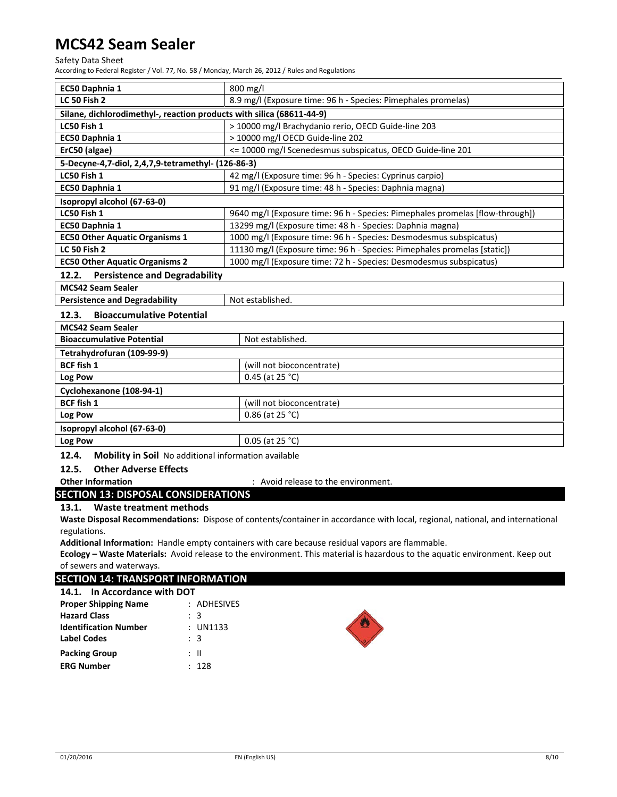### Safety Data Sheet

According to Federal Register / Vol. 77, No. 58 / Monday, March 26, 2012 / Rules and Regulations

| EC50 Daphnia 1                                                        | $800$ mg/l                                                                    |  |
|-----------------------------------------------------------------------|-------------------------------------------------------------------------------|--|
| <b>LC 50 Fish 2</b>                                                   | 8.9 mg/l (Exposure time: 96 h - Species: Pimephales promelas)                 |  |
| Silane, dichlorodimethyl-, reaction products with silica (68611-44-9) |                                                                               |  |
| LC50 Fish 1                                                           | > 10000 mg/l Brachydanio rerio, OECD Guide-line 203                           |  |
| EC50 Daphnia 1                                                        | > 10000 mg/l OECD Guide-line 202                                              |  |
| ErC50 (algae)                                                         | <= 10000 mg/l Scenedesmus subspicatus, OECD Guide-line 201                    |  |
| 5-Decyne-4,7-diol, 2,4,7,9-tetramethyl- (126-86-3)                    |                                                                               |  |
| LC50 Fish 1                                                           | 42 mg/l (Exposure time: 96 h - Species: Cyprinus carpio)                      |  |
| EC50 Daphnia 1                                                        | 91 mg/l (Exposure time: 48 h - Species: Daphnia magna)                        |  |
| Isopropyl alcohol (67-63-0)                                           |                                                                               |  |
| LC50 Fish 1                                                           | 9640 mg/l (Exposure time: 96 h - Species: Pimephales promelas [flow-through]) |  |
| EC50 Daphnia 1                                                        | 13299 mg/l (Exposure time: 48 h - Species: Daphnia magna)                     |  |
| <b>EC50 Other Aquatic Organisms 1</b>                                 | 1000 mg/l (Exposure time: 96 h - Species: Desmodesmus subspicatus)            |  |
| <b>LC 50 Fish 2</b>                                                   | 11130 mg/l (Exposure time: 96 h - Species: Pimephales promelas [static])      |  |
| <b>EC50 Other Aquatic Organisms 2</b>                                 | 1000 mg/l (Exposure time: 72 h - Species: Desmodesmus subspicatus)            |  |
| <b>Persistence and Degradability</b><br>12.2.                         |                                                                               |  |
| <b>MCS42 Seam Sealer</b>                                              |                                                                               |  |
| <b>Persistence and Degradability</b><br>Not established.              |                                                                               |  |
| <b>Bioaccumulative Potential</b><br>12.3.                             |                                                                               |  |
| <b>MCS42 Seam Sealer</b>                                              |                                                                               |  |
| <b>Bioaccumulative Potential</b>                                      | Not established.                                                              |  |
| Tetrahydrofuran (109-99-9)                                            |                                                                               |  |
| <b>BCF fish 1</b>                                                     | (will not bioconcentrate)                                                     |  |
| Log Pow                                                               | 0.45 (at $25 °C$ )                                                            |  |
| Cyclohexanone (108-94-1)                                              |                                                                               |  |
| <b>BCF fish 1</b>                                                     | (will not bioconcentrate)                                                     |  |
| Log Pow                                                               | 0.86 (at 25 °C)                                                               |  |
| Isopropyl alcohol (67-63-0)                                           |                                                                               |  |
| 0.05 (at 25 °C)<br>Log Pow                                            |                                                                               |  |
|                                                                       |                                                                               |  |

**12.4. Mobility in Soil** No additional information available

# **12.5. Other Adverse Effects**

**Other Information** : Avoid release to the environment.

**SECTION 13: DISPOSAL CONSIDERATIONS**

### **13.1. Waste treatment methods**

**Waste Disposal Recommendations:** Dispose of contents/container in accordance with local, regional, national, and international regulations.

**Additional Information:** Handle empty containers with care because residual vapors are flammable.

**Ecology – Waste Materials:** Avoid release to the environment. This material is hazardous to the aquatic environment. Keep out of sewers and waterways.

# **SECTION 14: TRANSPORT INFORMATION**

| 14.1. In Accordance with DOT |               |
|------------------------------|---------------|
| <b>Proper Shipping Name</b>  | $:$ ADHESIVES |
| <b>Hazard Class</b>          | : 3           |
| <b>Identification Number</b> | : UN1133      |
| <b>Label Codes</b>           | : 3           |
| <b>Packing Group</b>         | : II          |
| <b>ERG Number</b>            | · 128         |

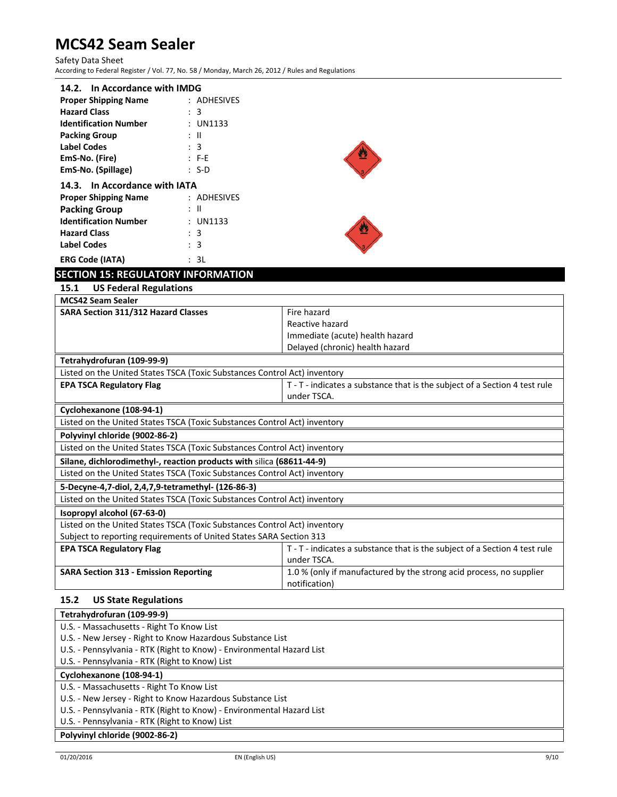Safety Data Sheet According to Federal Register / Vol. 77, No. 58 / Monday, March 26, 2012 / Rules and Regulations

| 14.2. In Accordance with IMDG                |               |  |  |
|----------------------------------------------|---------------|--|--|
| <b>Proper Shipping Name</b><br>$:$ ADHESIVES |               |  |  |
| <b>Hazard Class</b>                          | : 3           |  |  |
| <b>Identification Number</b>                 | : UN1133      |  |  |
| <b>Packing Group</b>                         | : II          |  |  |
| <b>Label Codes</b>                           | : 3           |  |  |
| EmS-No. (Fire)                               | $: F-E$       |  |  |
| EmS-No. (Spillage)                           | : S-D         |  |  |
| 14.3. In Accordance with IATA                |               |  |  |
| <b>Proper Shipping Name</b>                  | $:$ ADHESIVES |  |  |
| <b>Packing Group</b>                         | Ш             |  |  |



# **SECTION 15: REGULATORY INFORMATION**

**Identification Number**  : UN1133

**Hazard Class** : 3<br> **Label Codes** : 3

**ERG Code (IATA)** : 3L

**Label Codes** 

| <u>enon zo: neoben din mi onimino</u>                                     |                                                                            |  |
|---------------------------------------------------------------------------|----------------------------------------------------------------------------|--|
| <b>US Federal Regulations</b><br>15.1                                     |                                                                            |  |
| <b>MCS42 Seam Sealer</b>                                                  |                                                                            |  |
| SARA Section 311/312 Hazard Classes                                       | Fire hazard                                                                |  |
|                                                                           | Reactive hazard                                                            |  |
|                                                                           | Immediate (acute) health hazard                                            |  |
|                                                                           | Delayed (chronic) health hazard                                            |  |
| Tetrahydrofuran (109-99-9)                                                |                                                                            |  |
| Listed on the United States TSCA (Toxic Substances Control Act) inventory |                                                                            |  |
| <b>EPA TSCA Regulatory Flag</b>                                           | T - T - indicates a substance that is the subject of a Section 4 test rule |  |
|                                                                           | under TSCA.                                                                |  |
| Cyclohexanone (108-94-1)                                                  |                                                                            |  |
| Listed on the United States TSCA (Toxic Substances Control Act) inventory |                                                                            |  |
| Polyvinyl chloride (9002-86-2)                                            |                                                                            |  |
| Listed on the United States TSCA (Toxic Substances Control Act) inventory |                                                                            |  |
| Silane, dichlorodimethyl-, reaction products with silica (68611-44-9)     |                                                                            |  |
| Listed on the United States TSCA (Toxic Substances Control Act) inventory |                                                                            |  |
| 5-Decyne-4,7-diol, 2,4,7,9-tetramethyl- (126-86-3)                        |                                                                            |  |
| Listed on the United States TSCA (Toxic Substances Control Act) inventory |                                                                            |  |
| Isopropyl alcohol (67-63-0)                                               |                                                                            |  |
| Listed on the United States TSCA (Toxic Substances Control Act) inventory |                                                                            |  |
| Subject to reporting requirements of United States SARA Section 313       |                                                                            |  |
| <b>EPA TSCA Regulatory Flag</b>                                           | T - T - indicates a substance that is the subject of a Section 4 test rule |  |
|                                                                           | under TSCA.                                                                |  |
| <b>SARA Section 313 - Emission Reporting</b>                              | 1.0 % (only if manufactured by the strong acid process, no supplier        |  |
|                                                                           | notification)                                                              |  |

# **15.2 US State Regulations**

| Tetrahydrofuran (109-99-9)                                            |
|-----------------------------------------------------------------------|
| U.S. - Massachusetts - Right To Know List                             |
| U.S. - New Jersey - Right to Know Hazardous Substance List            |
| U.S. - Pennsylvania - RTK (Right to Know) - Environmental Hazard List |
| U.S. - Pennsylvania - RTK (Right to Know) List                        |
| Cyclohexanone (108-94-1)                                              |
| U.S. - Massachusetts - Right To Know List                             |
| U.S. - New Jersey - Right to Know Hazardous Substance List            |
| U.S. - Pennsylvania - RTK (Right to Know) - Environmental Hazard List |
| U.S. - Pennsylvania - RTK (Right to Know) List                        |
| Polyvinyl chloride (9002-86-2)                                        |